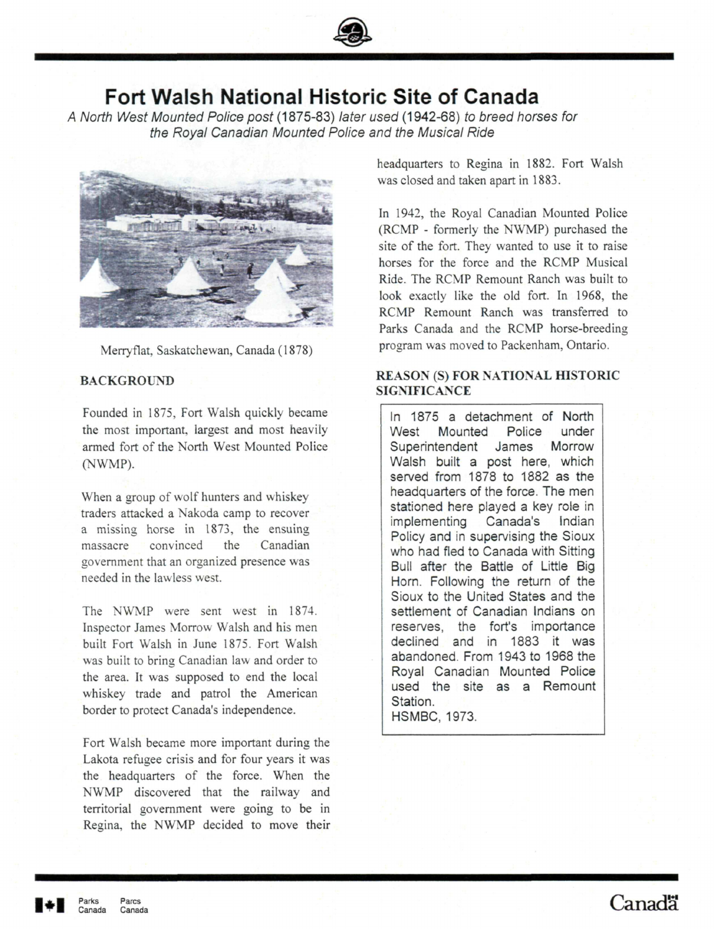

# **Fort Walsh National Historic Site of Canada**

A North West Mounted Police post (1875-83) later used (1942-68) to breed horses for the Royal Canadian Mounted Police and the Musical Ride



Merryflat, Saskatchewan, Canada ( 1878)

## **BACKGROUND**

Founded in 1875, Fort Walsh quickly became the most important, largest and most heavily armed fort of the North West Mounted Police (NWMP).

When a group of wolf hunters and whiskey traders attacked a Nakoda camp to recover a missing horse in 1873, the ensuing massacre convinced the Canadian government that an organized presence was needed in the lawless west.

The NWMP were sent west in 1874. Inspector James Morrow Walsh and his men built Fort Walsh in June 1875. Fort Walsh was built to bring Canadian law and order to the area. It was supposed to end the local whiskey trade and patrol the American border to protect Canada's independence.

Fort Walsh became more important during the Lakota refugee crisis and for four years it was the headquarters of **the** force. When the NWMP discovered that the railway and territorial government were going to be in Regina, the NWMP decided to move their headquarters to Regina in 1882. Fort Walsh was closed and taken apart in 1883.

In 1942, the Royal Canadian Mounted Police (RCMP - formerly the NWMP) purchased the site of the fort. They wanted to use it to raise horses for the force and the RCMP Musical Ride. The RCMP Remount Ranch was built to look exactly like the old fort. In 1968, the RCMP Remount Ranch was transferred to Parks Canada and the RCMP horse-breeding program was moved to Packenham, Ontario.

## **REASON (S) FOR NATIONAL HISTORIC SIGNIFICANCE**

In 1875 a detachment of North West Mounted Police under Superintendent James Morrow Walsh built a post here, which served from 1878 to 1882 as the headquarters of the force. The men stationed here played a key role in implementing Canada's Indian Policy and in supervising the Sioux who had fled to Canada with Sitting Bull after the Battle of Little Big Horn. Following the return of the Sioux to the United States and the settlement of Canadian Indians on reserves, the fort's importance declined and in 1883 it was abandoned. From 1943 to 1968 the Royal Canadian Mounted Police used the site as a Remount Station. HSMBC, 1973.